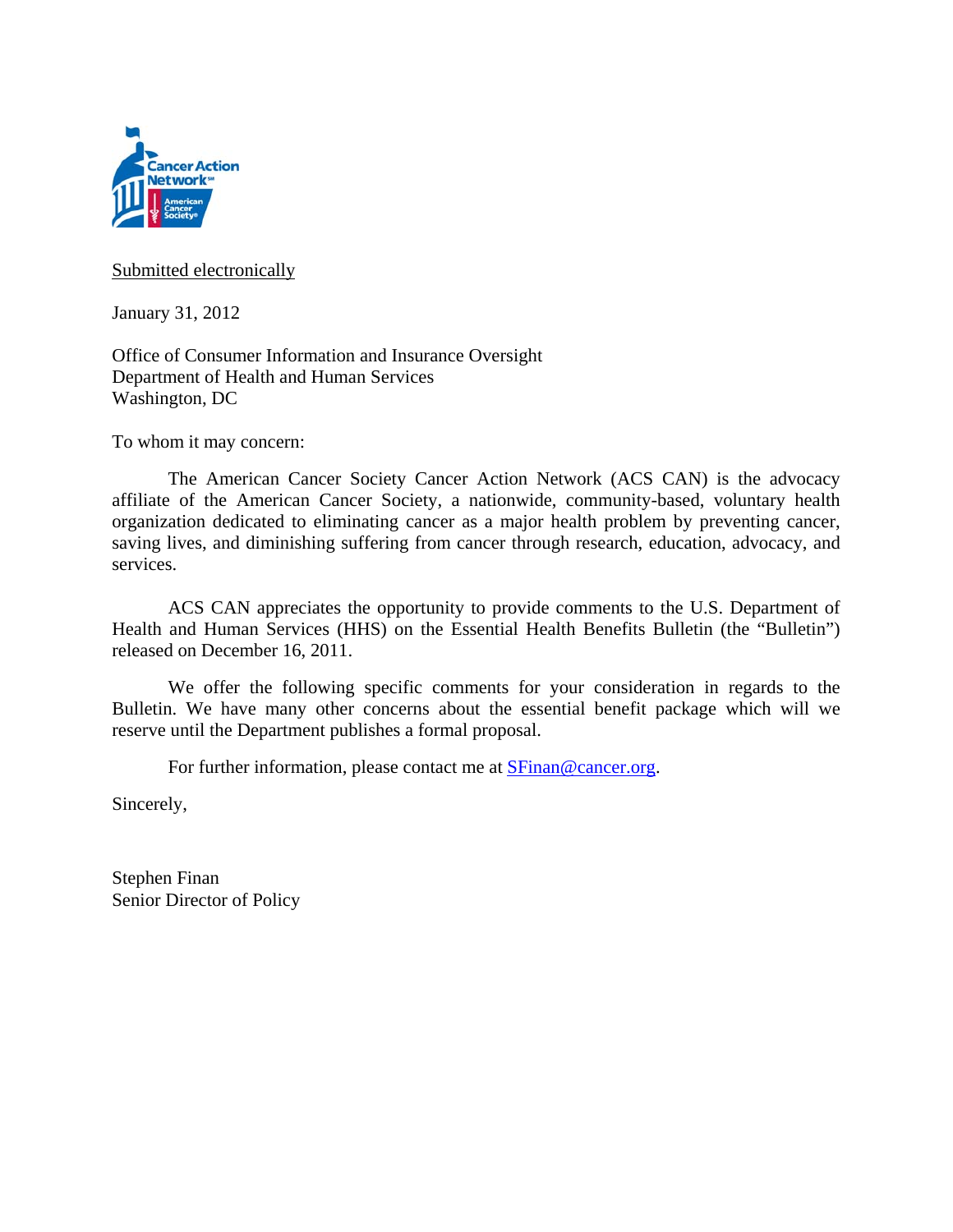

#### Submitted electronically

January 31, 2012

Office of Consumer Information and Insurance Oversight Department of Health and Human Services Washington, DC

To whom it may concern:

 The American Cancer Society Cancer Action Network (ACS CAN) is the advocacy affiliate of the American Cancer Society, a nationwide, community-based, voluntary health organization dedicated to eliminating cancer as a major health problem by preventing cancer, saving lives, and diminishing suffering from cancer through research, education, advocacy, and services.

ACS CAN appreciates the opportunity to provide comments to the U.S. Department of Health and Human Services (HHS) on the Essential Health Benefits Bulletin (the "Bulletin") released on December 16, 2011.

We offer the following specific comments for your consideration in regards to the Bulletin. We have many other concerns about the essential benefit package which will we reserve until the Department publishes a formal proposal.

For further information, please contact me at **SFinan@cancer.org**.

Sincerely,

Stephen Finan Senior Director of Policy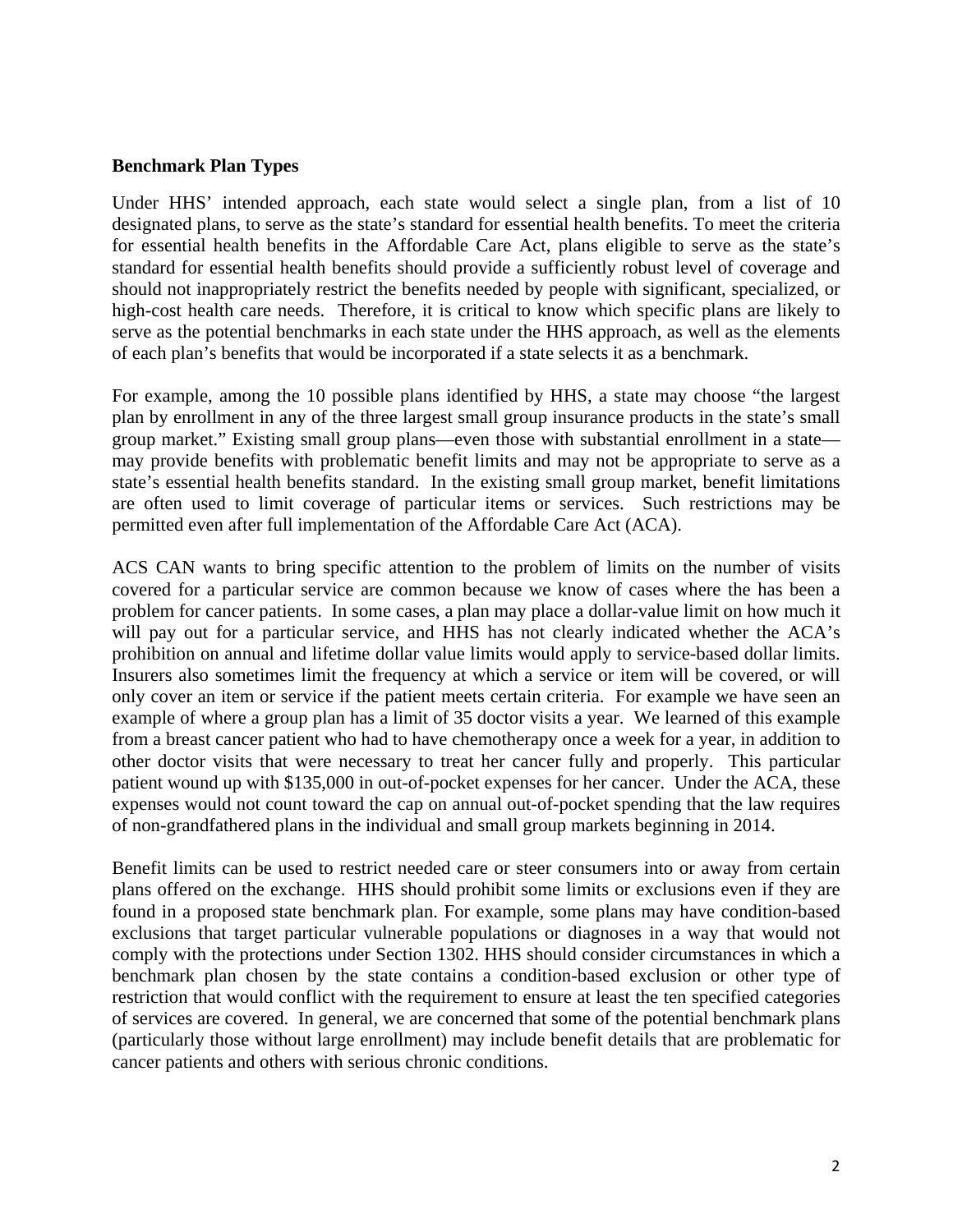#### **Benchmark Plan Types**

Under HHS' intended approach, each state would select a single plan, from a list of 10 designated plans, to serve as the state's standard for essential health benefits. To meet the criteria for essential health benefits in the Affordable Care Act, plans eligible to serve as the state's standard for essential health benefits should provide a sufficiently robust level of coverage and should not inappropriately restrict the benefits needed by people with significant, specialized, or high-cost health care needs. Therefore, it is critical to know which specific plans are likely to serve as the potential benchmarks in each state under the HHS approach, as well as the elements of each plan's benefits that would be incorporated if a state selects it as a benchmark.

For example, among the 10 possible plans identified by HHS, a state may choose "the largest plan by enrollment in any of the three largest small group insurance products in the state's small group market." Existing small group plans—even those with substantial enrollment in a state may provide benefits with problematic benefit limits and may not be appropriate to serve as a state's essential health benefits standard. In the existing small group market, benefit limitations are often used to limit coverage of particular items or services. Such restrictions may be permitted even after full implementation of the Affordable Care Act (ACA).

ACS CAN wants to bring specific attention to the problem of limits on the number of visits covered for a particular service are common because we know of cases where the has been a problem for cancer patients. In some cases, a plan may place a dollar-value limit on how much it will pay out for a particular service, and HHS has not clearly indicated whether the ACA's prohibition on annual and lifetime dollar value limits would apply to service-based dollar limits. Insurers also sometimes limit the frequency at which a service or item will be covered, or will only cover an item or service if the patient meets certain criteria. For example we have seen an example of where a group plan has a limit of 35 doctor visits a year. We learned of this example from a breast cancer patient who had to have chemotherapy once a week for a year, in addition to other doctor visits that were necessary to treat her cancer fully and properly. This particular patient wound up with \$135,000 in out-of-pocket expenses for her cancer. Under the ACA, these expenses would not count toward the cap on annual out-of-pocket spending that the law requires of non-grandfathered plans in the individual and small group markets beginning in 2014.

Benefit limits can be used to restrict needed care or steer consumers into or away from certain plans offered on the exchange. HHS should prohibit some limits or exclusions even if they are found in a proposed state benchmark plan. For example, some plans may have condition-based exclusions that target particular vulnerable populations or diagnoses in a way that would not comply with the protections under Section 1302. HHS should consider circumstances in which a benchmark plan chosen by the state contains a condition-based exclusion or other type of restriction that would conflict with the requirement to ensure at least the ten specified categories of services are covered. In general, we are concerned that some of the potential benchmark plans (particularly those without large enrollment) may include benefit details that are problematic for cancer patients and others with serious chronic conditions.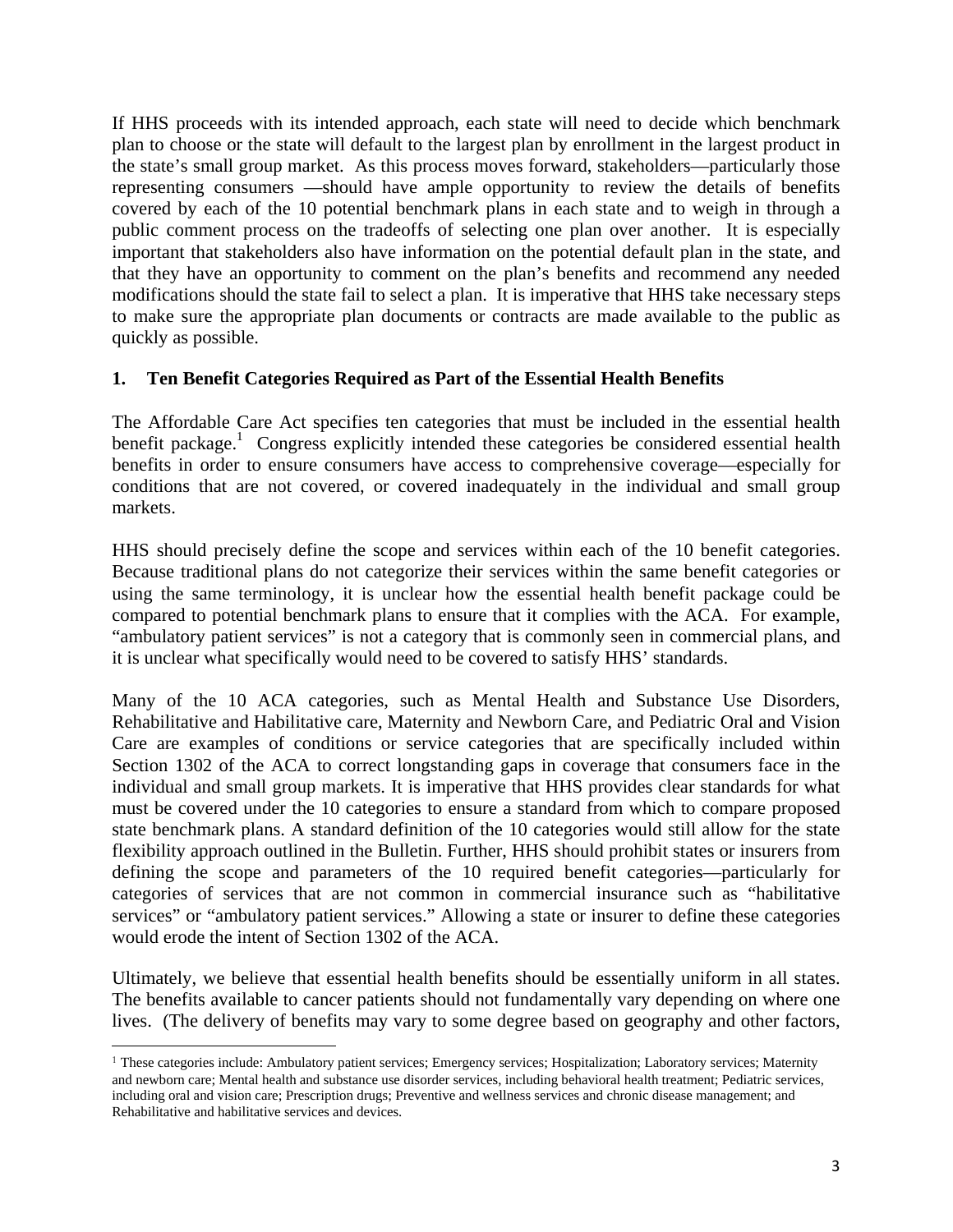If HHS proceeds with its intended approach, each state will need to decide which benchmark plan to choose or the state will default to the largest plan by enrollment in the largest product in the state's small group market. As this process moves forward, stakeholders—particularly those representing consumers —should have ample opportunity to review the details of benefits covered by each of the 10 potential benchmark plans in each state and to weigh in through a public comment process on the tradeoffs of selecting one plan over another. It is especially important that stakeholders also have information on the potential default plan in the state, and that they have an opportunity to comment on the plan's benefits and recommend any needed modifications should the state fail to select a plan. It is imperative that HHS take necessary steps to make sure the appropriate plan documents or contracts are made available to the public as quickly as possible.

#### **1. Ten Benefit Categories Required as Part of the Essential Health Benefits**

The Affordable Care Act specifies ten categories that must be included in the essential health benefit package.<sup>1</sup> Congress explicitly intended these categories be considered essential health benefits in order to ensure consumers have access to comprehensive coverage—especially for conditions that are not covered, or covered inadequately in the individual and small group markets.

HHS should precisely define the scope and services within each of the 10 benefit categories. Because traditional plans do not categorize their services within the same benefit categories or using the same terminology, it is unclear how the essential health benefit package could be compared to potential benchmark plans to ensure that it complies with the ACA. For example, "ambulatory patient services" is not a category that is commonly seen in commercial plans, and it is unclear what specifically would need to be covered to satisfy HHS' standards.

Many of the 10 ACA categories, such as Mental Health and Substance Use Disorders, Rehabilitative and Habilitative care, Maternity and Newborn Care, and Pediatric Oral and Vision Care are examples of conditions or service categories that are specifically included within Section 1302 of the ACA to correct longstanding gaps in coverage that consumers face in the individual and small group markets. It is imperative that HHS provides clear standards for what must be covered under the 10 categories to ensure a standard from which to compare proposed state benchmark plans. A standard definition of the 10 categories would still allow for the state flexibility approach outlined in the Bulletin. Further, HHS should prohibit states or insurers from defining the scope and parameters of the 10 required benefit categories—particularly for categories of services that are not common in commercial insurance such as "habilitative services" or "ambulatory patient services." Allowing a state or insurer to define these categories would erode the intent of Section 1302 of the ACA.

Ultimately, we believe that essential health benefits should be essentially uniform in all states. The benefits available to cancer patients should not fundamentally vary depending on where one lives. (The delivery of benefits may vary to some degree based on geography and other factors,

<sup>&</sup>lt;sup>1</sup> These categories include: Ambulatory patient services; Emergency services; Hospitalization; Laboratory services; Maternity and newborn care; Mental health and substance use disorder services, including behavioral health treatment; Pediatric services, including oral and vision care; Prescription drugs; Preventive and wellness services and chronic disease management; and Rehabilitative and habilitative services and devices.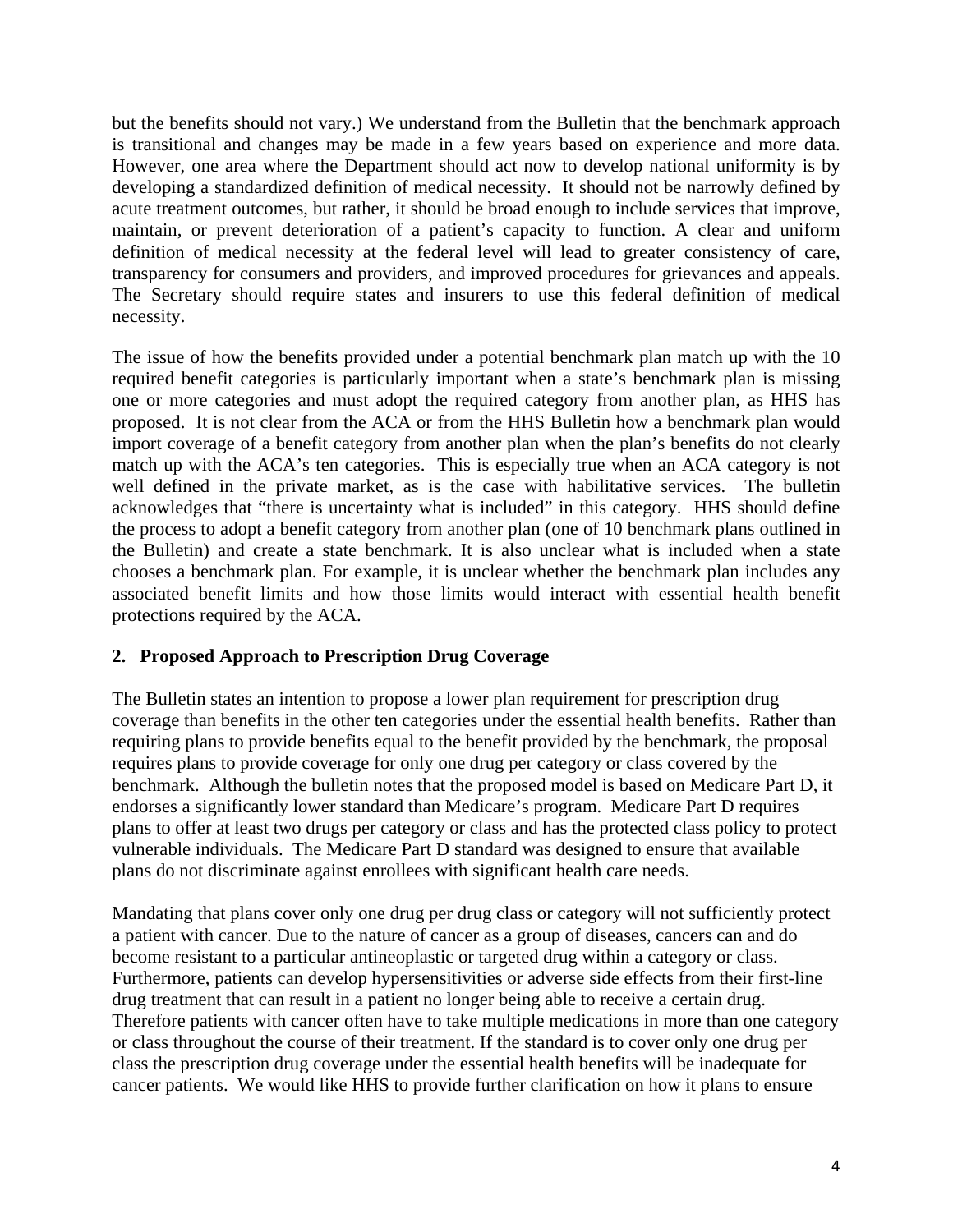but the benefits should not vary.) We understand from the Bulletin that the benchmark approach is transitional and changes may be made in a few years based on experience and more data. However, one area where the Department should act now to develop national uniformity is by developing a standardized definition of medical necessity. It should not be narrowly defined by acute treatment outcomes, but rather, it should be broad enough to include services that improve, maintain, or prevent deterioration of a patient's capacity to function. A clear and uniform definition of medical necessity at the federal level will lead to greater consistency of care, transparency for consumers and providers, and improved procedures for grievances and appeals. The Secretary should require states and insurers to use this federal definition of medical necessity.

The issue of how the benefits provided under a potential benchmark plan match up with the 10 required benefit categories is particularly important when a state's benchmark plan is missing one or more categories and must adopt the required category from another plan, as HHS has proposed. It is not clear from the ACA or from the HHS Bulletin how a benchmark plan would import coverage of a benefit category from another plan when the plan's benefits do not clearly match up with the ACA's ten categories. This is especially true when an ACA category is not well defined in the private market, as is the case with habilitative services. The bulletin acknowledges that "there is uncertainty what is included" in this category. HHS should define the process to adopt a benefit category from another plan (one of 10 benchmark plans outlined in the Bulletin) and create a state benchmark. It is also unclear what is included when a state chooses a benchmark plan. For example, it is unclear whether the benchmark plan includes any associated benefit limits and how those limits would interact with essential health benefit protections required by the ACA.

## **2. Proposed Approach to Prescription Drug Coverage**

The Bulletin states an intention to propose a lower plan requirement for prescription drug coverage than benefits in the other ten categories under the essential health benefits. Rather than requiring plans to provide benefits equal to the benefit provided by the benchmark, the proposal requires plans to provide coverage for only one drug per category or class covered by the benchmark. Although the bulletin notes that the proposed model is based on Medicare Part D, it endorses a significantly lower standard than Medicare's program. Medicare Part D requires plans to offer at least two drugs per category or class and has the protected class policy to protect vulnerable individuals. The Medicare Part D standard was designed to ensure that available plans do not discriminate against enrollees with significant health care needs.

Mandating that plans cover only one drug per drug class or category will not sufficiently protect a patient with cancer. Due to the nature of cancer as a group of diseases, cancers can and do become resistant to a particular antineoplastic or targeted drug within a category or class. Furthermore, patients can develop hypersensitivities or adverse side effects from their first-line drug treatment that can result in a patient no longer being able to receive a certain drug. Therefore patients with cancer often have to take multiple medications in more than one category or class throughout the course of their treatment. If the standard is to cover only one drug per class the prescription drug coverage under the essential health benefits will be inadequate for cancer patients. We would like HHS to provide further clarification on how it plans to ensure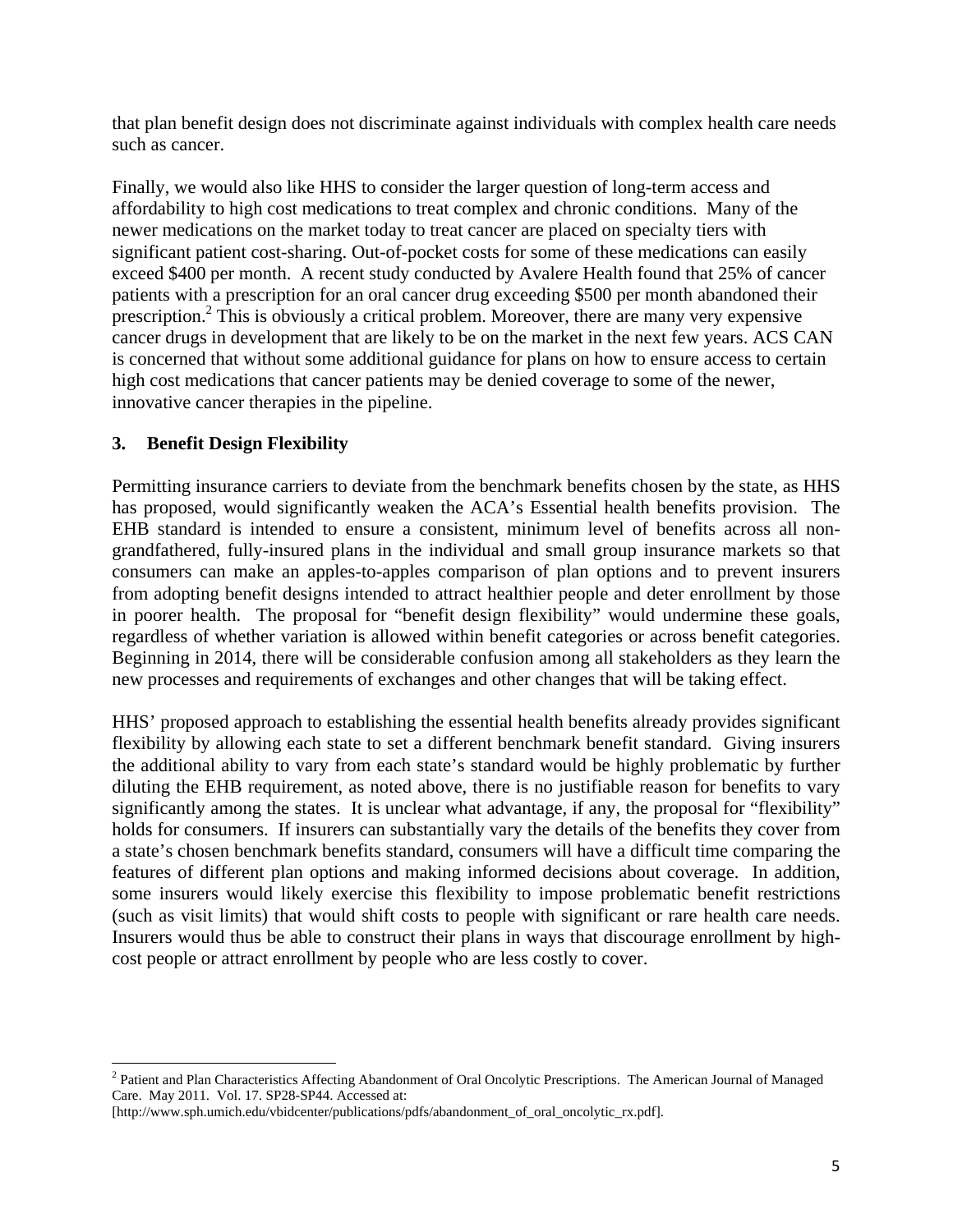that plan benefit design does not discriminate against individuals with complex health care needs such as cancer.

Finally, we would also like HHS to consider the larger question of long-term access and affordability to high cost medications to treat complex and chronic conditions. Many of the newer medications on the market today to treat cancer are placed on specialty tiers with significant patient cost-sharing. Out-of-pocket costs for some of these medications can easily exceed \$400 per month. A recent study conducted by Avalere Health found that 25% of cancer patients with a prescription for an oral cancer drug exceeding \$500 per month abandoned their prescription.<sup>2</sup> This is obviously a critical problem. Moreover, there are many very expensive cancer drugs in development that are likely to be on the market in the next few years. ACS CAN is concerned that without some additional guidance for plans on how to ensure access to certain high cost medications that cancer patients may be denied coverage to some of the newer, innovative cancer therapies in the pipeline.

## **3. Benefit Design Flexibility**

Permitting insurance carriers to deviate from the benchmark benefits chosen by the state, as HHS has proposed, would significantly weaken the ACA's Essential health benefits provision. The EHB standard is intended to ensure a consistent, minimum level of benefits across all nongrandfathered, fully-insured plans in the individual and small group insurance markets so that consumers can make an apples-to-apples comparison of plan options and to prevent insurers from adopting benefit designs intended to attract healthier people and deter enrollment by those in poorer health. The proposal for "benefit design flexibility" would undermine these goals, regardless of whether variation is allowed within benefit categories or across benefit categories. Beginning in 2014, there will be considerable confusion among all stakeholders as they learn the new processes and requirements of exchanges and other changes that will be taking effect.

HHS' proposed approach to establishing the essential health benefits already provides significant flexibility by allowing each state to set a different benchmark benefit standard. Giving insurers the additional ability to vary from each state's standard would be highly problematic by further diluting the EHB requirement, as noted above, there is no justifiable reason for benefits to vary significantly among the states. It is unclear what advantage, if any, the proposal for "flexibility" holds for consumers. If insurers can substantially vary the details of the benefits they cover from a state's chosen benchmark benefits standard, consumers will have a difficult time comparing the features of different plan options and making informed decisions about coverage. In addition, some insurers would likely exercise this flexibility to impose problematic benefit restrictions (such as visit limits) that would shift costs to people with significant or rare health care needs. Insurers would thus be able to construct their plans in ways that discourage enrollment by highcost people or attract enrollment by people who are less costly to cover.

<sup>&</sup>lt;sup>2</sup> Patient and Plan Characteristics Affecting Abandonment of Oral Oncolytic Prescriptions. The American Journal of Managed Care. May 2011. Vol. 17. SP28-SP44. Accessed at:

<sup>[</sup>http://www.sph.umich.edu/vbidcenter/publications/pdfs/abandonment\_of\_oral\_oncolytic\_rx.pdf].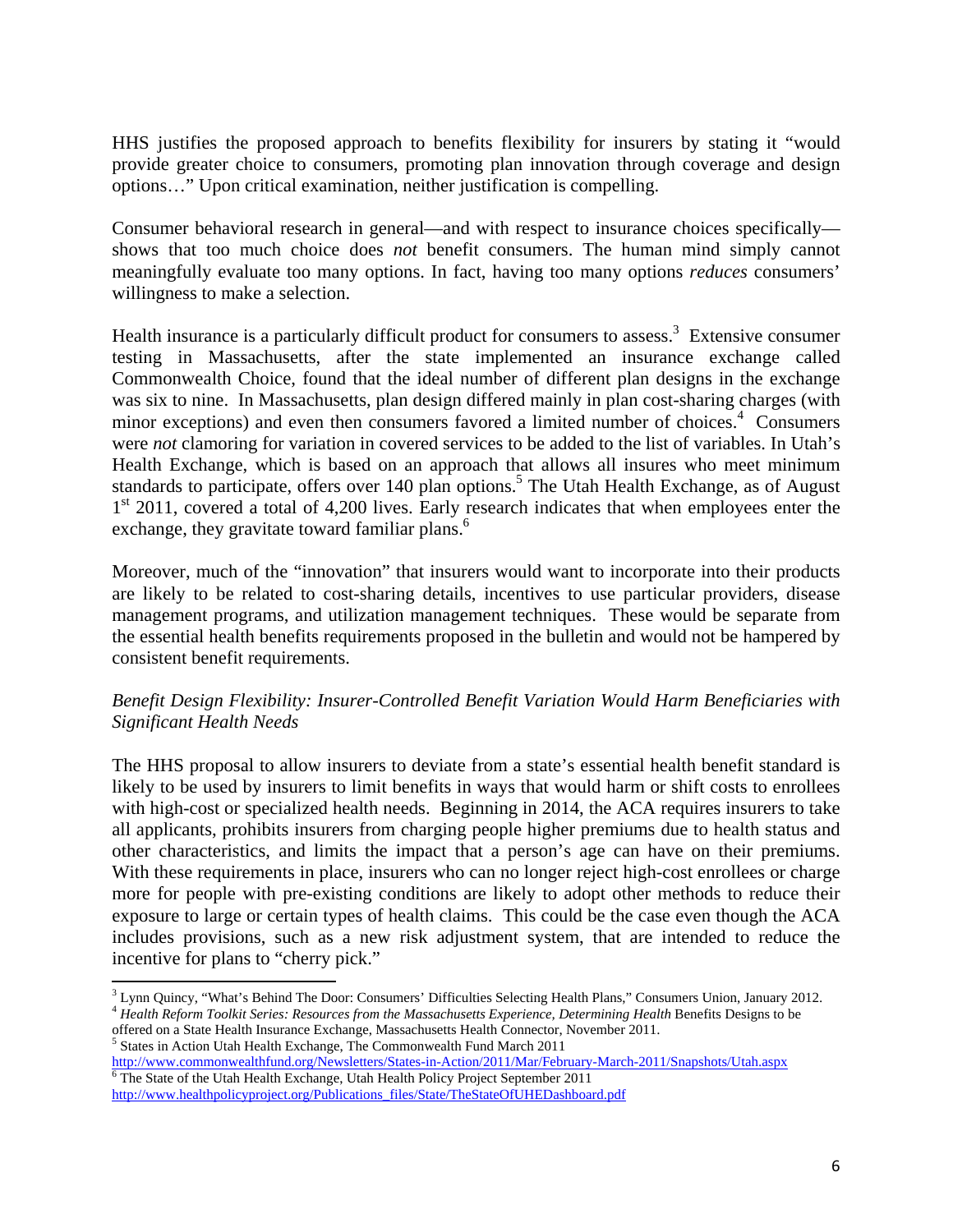HHS justifies the proposed approach to benefits flexibility for insurers by stating it "would provide greater choice to consumers, promoting plan innovation through coverage and design options…" Upon critical examination, neither justification is compelling.

Consumer behavioral research in general—and with respect to insurance choices specifically shows that too much choice does *not* benefit consumers. The human mind simply cannot meaningfully evaluate too many options. In fact, having too many options *reduces* consumers' willingness to make a selection.

Health insurance is a particularly difficult product for consumers to assess.<sup>3</sup> Extensive consumer testing in Massachusetts, after the state implemented an insurance exchange called Commonwealth Choice, found that the ideal number of different plan designs in the exchange was six to nine. In Massachusetts, plan design differed mainly in plan cost-sharing charges (with minor exceptions) and even then consumers favored a limited number of choices.<sup>4</sup> Consumers were *not* clamoring for variation in covered services to be added to the list of variables. In Utah's Health Exchange, which is based on an approach that allows all insures who meet minimum standards to participate, offers over 140 plan options.<sup>5</sup> The Utah Health Exchange, as of August  $1<sup>st</sup>$  2011, covered a total of 4,200 lives. Early research indicates that when employees enter the exchange, they gravitate toward familiar plans.<sup>6</sup>

Moreover, much of the "innovation" that insurers would want to incorporate into their products are likely to be related to cost-sharing details, incentives to use particular providers, disease management programs, and utilization management techniques. These would be separate from the essential health benefits requirements proposed in the bulletin and would not be hampered by consistent benefit requirements.

## *Benefit Design Flexibility: Insurer-Controlled Benefit Variation Would Harm Beneficiaries with Significant Health Needs*

The HHS proposal to allow insurers to deviate from a state's essential health benefit standard is likely to be used by insurers to limit benefits in ways that would harm or shift costs to enrollees with high-cost or specialized health needs. Beginning in 2014, the ACA requires insurers to take all applicants, prohibits insurers from charging people higher premiums due to health status and other characteristics, and limits the impact that a person's age can have on their premiums. With these requirements in place, insurers who can no longer reject high-cost enrollees or charge more for people with pre-existing conditions are likely to adopt other methods to reduce their exposure to large or certain types of health claims. This could be the case even though the ACA includes provisions, such as a new risk adjustment system, that are intended to reduce the incentive for plans to "cherry pick."

http://www.commonwealthfund.org/Newsletters/States-in-Action/2011/Mar/February-March-2011/Snapshots/Utah.aspx <sup>6</sup>  $\overline{6}$  The State of the Utah Health Exchange, Utah Health Policy Project September 2011

  $3$  Lynn Quincy, "What's Behind The Door: Consumers' Difficulties Selecting Health Plans," Consumers Union, January 2012. <sup>4</sup> Health Reform Toolkit Series: Resources from the Massachusetts Experience, Determining Health Benefits Designs to be

offered on a State Health Insurance Exchange, Massachusetts Health Connector, November 2011.<br><sup>5</sup> States in Action Utah Health Exchange, The Commonwealth Fund March 2011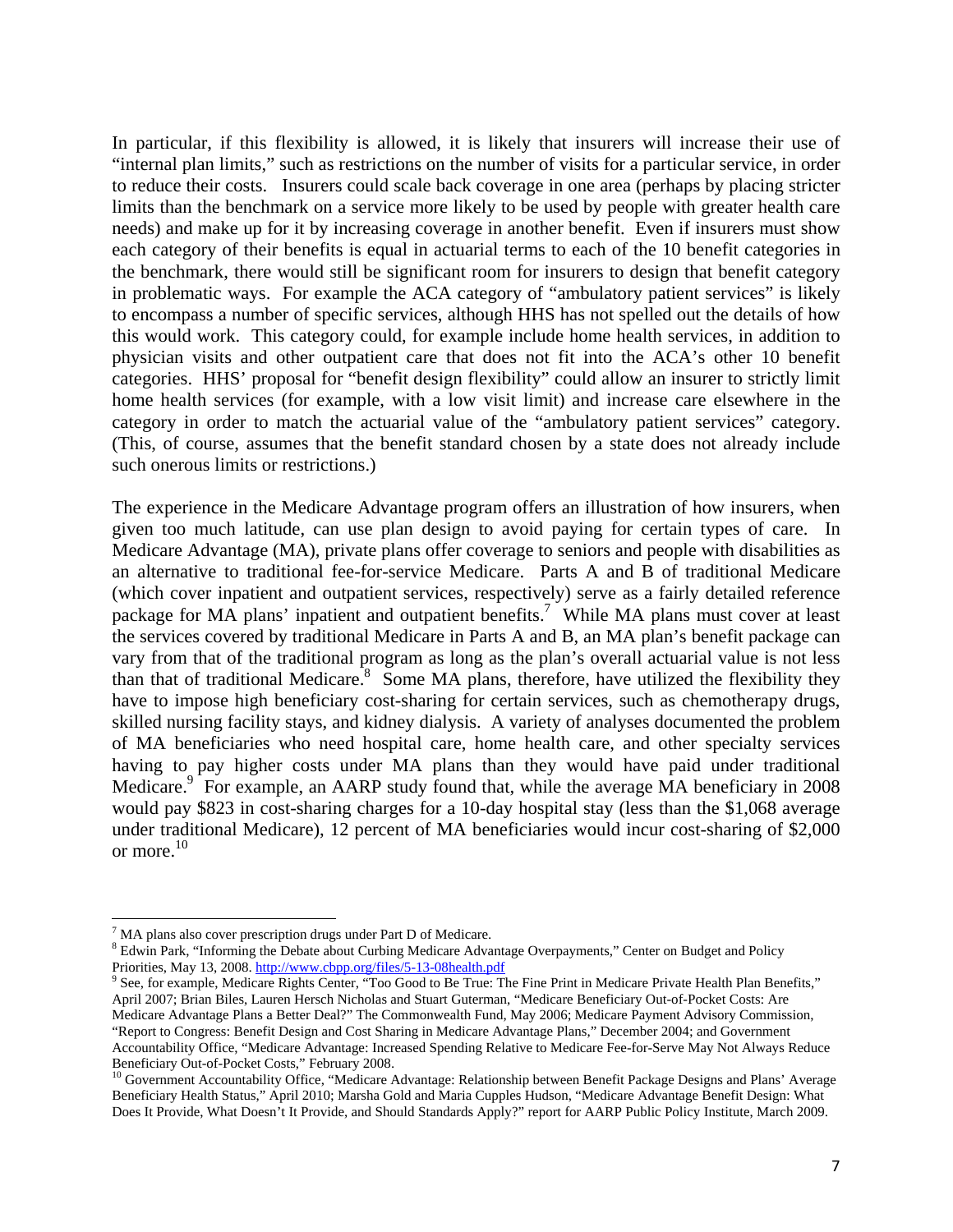In particular, if this flexibility is allowed, it is likely that insurers will increase their use of "internal plan limits," such as restrictions on the number of visits for a particular service, in order to reduce their costs. Insurers could scale back coverage in one area (perhaps by placing stricter limits than the benchmark on a service more likely to be used by people with greater health care needs) and make up for it by increasing coverage in another benefit. Even if insurers must show each category of their benefits is equal in actuarial terms to each of the 10 benefit categories in the benchmark, there would still be significant room for insurers to design that benefit category in problematic ways. For example the ACA category of "ambulatory patient services" is likely to encompass a number of specific services, although HHS has not spelled out the details of how this would work. This category could, for example include home health services, in addition to physician visits and other outpatient care that does not fit into the ACA's other 10 benefit categories. HHS' proposal for "benefit design flexibility" could allow an insurer to strictly limit home health services (for example, with a low visit limit) and increase care elsewhere in the category in order to match the actuarial value of the "ambulatory patient services" category. (This, of course, assumes that the benefit standard chosen by a state does not already include such onerous limits or restrictions.)

The experience in the Medicare Advantage program offers an illustration of how insurers, when given too much latitude, can use plan design to avoid paying for certain types of care. In Medicare Advantage (MA), private plans offer coverage to seniors and people with disabilities as an alternative to traditional fee-for-service Medicare. Parts A and B of traditional Medicare (which cover inpatient and outpatient services, respectively) serve as a fairly detailed reference package for MA plans' inpatient and outpatient benefits.<sup>7</sup> While MA plans must cover at least the services covered by traditional Medicare in Parts A and B, an MA plan's benefit package can vary from that of the traditional program as long as the plan's overall actuarial value is not less than that of traditional Medicare.<sup>8</sup> Some MA plans, therefore, have utilized the flexibility they have to impose high beneficiary cost-sharing for certain services, such as chemotherapy drugs, skilled nursing facility stays, and kidney dialysis. A variety of analyses documented the problem of MA beneficiaries who need hospital care, home health care, and other specialty services having to pay higher costs under MA plans than they would have paid under traditional Medicare.<sup>9</sup> For example, an AARP study found that, while the average MA beneficiary in 2008 would pay \$823 in cost-sharing charges for a 10-day hospital stay (less than the \$1,068 average under traditional Medicare), 12 percent of MA beneficiaries would incur cost-sharing of \$2,000 or more.<sup>10</sup>

 $T$  MA plans also cover prescription drugs under Part D of Medicare.

<sup>&</sup>lt;sup>8</sup> Edwin Park, "Informing the Debate about Curbing Medicare Advantage Overpayments," Center on Budget and Policy Priorities, May 13, 2008. http://www.cbpp.org/files/5-13-08health.pdf

<sup>&</sup>lt;sup>9</sup> See, for example, Medicare Rights Center, "Too Good to Be True: The Fine Print in Medicare Private Health Plan Benefits," April 2007; Brian Biles, Lauren Hersch Nicholas and Stuart Guterman, "Medicare Beneficiary Out-of-Pocket Costs: Are Medicare Advantage Plans a Better Deal?" The Commonwealth Fund, May 2006; Medicare Payment Advisory Commission, "Report to Congress: Benefit Design and Cost Sharing in Medicare Advantage Plans," December 2004; and Government Accountability Office, "Medicare Advantage: Increased Spending Relative to Medicare Fee-for-Serve May Not Always Reduce Beneficiary Out-of-Pocket Costs," February 2008.

<sup>&</sup>lt;sup>10</sup> Government Accountability Office, "Medicare Advantage: Relationship between Benefit Package Designs and Plans' Average Beneficiary Health Status," April 2010; Marsha Gold and Maria Cupples Hudson, "Medicare Advantage Benefit Design: What Does It Provide, What Doesn't It Provide, and Should Standards Apply?" report for AARP Public Policy Institute, March 2009.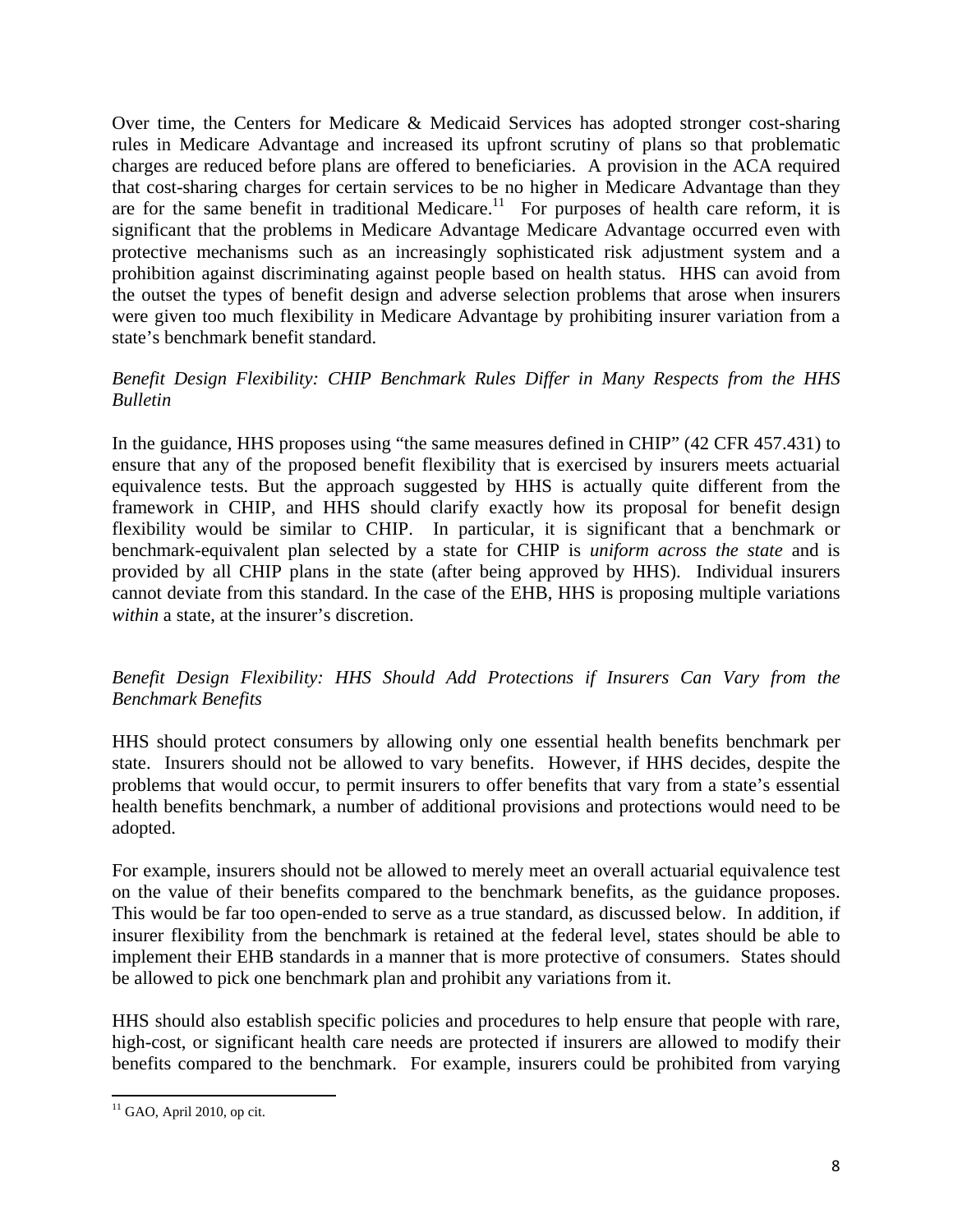Over time, the Centers for Medicare & Medicaid Services has adopted stronger cost-sharing rules in Medicare Advantage and increased its upfront scrutiny of plans so that problematic charges are reduced before plans are offered to beneficiaries. A provision in the ACA required that cost-sharing charges for certain services to be no higher in Medicare Advantage than they are for the same benefit in traditional Medicare.<sup>11</sup> For purposes of health care reform, it is significant that the problems in Medicare Advantage Medicare Advantage occurred even with protective mechanisms such as an increasingly sophisticated risk adjustment system and a prohibition against discriminating against people based on health status. HHS can avoid from the outset the types of benefit design and adverse selection problems that arose when insurers were given too much flexibility in Medicare Advantage by prohibiting insurer variation from a state's benchmark benefit standard.

#### *Benefit Design Flexibility: CHIP Benchmark Rules Differ in Many Respects from the HHS Bulletin*

In the guidance, HHS proposes using "the same measures defined in CHIP" (42 CFR 457.431) to ensure that any of the proposed benefit flexibility that is exercised by insurers meets actuarial equivalence tests. But the approach suggested by HHS is actually quite different from the framework in CHIP, and HHS should clarify exactly how its proposal for benefit design flexibility would be similar to CHIP. In particular, it is significant that a benchmark or benchmark-equivalent plan selected by a state for CHIP is *uniform across the state* and is provided by all CHIP plans in the state (after being approved by HHS). Individual insurers cannot deviate from this standard. In the case of the EHB, HHS is proposing multiple variations *within* a state, at the insurer's discretion.

## *Benefit Design Flexibility: HHS Should Add Protections if Insurers Can Vary from the Benchmark Benefits*

HHS should protect consumers by allowing only one essential health benefits benchmark per state. Insurers should not be allowed to vary benefits. However, if HHS decides, despite the problems that would occur, to permit insurers to offer benefits that vary from a state's essential health benefits benchmark, a number of additional provisions and protections would need to be adopted.

For example, insurers should not be allowed to merely meet an overall actuarial equivalence test on the value of their benefits compared to the benchmark benefits, as the guidance proposes. This would be far too open-ended to serve as a true standard, as discussed below. In addition, if insurer flexibility from the benchmark is retained at the federal level, states should be able to implement their EHB standards in a manner that is more protective of consumers. States should be allowed to pick one benchmark plan and prohibit any variations from it.

HHS should also establish specific policies and procedures to help ensure that people with rare, high-cost, or significant health care needs are protected if insurers are allowed to modify their benefits compared to the benchmark. For example, insurers could be prohibited from varying

  $11$  GAO, April 2010, op cit.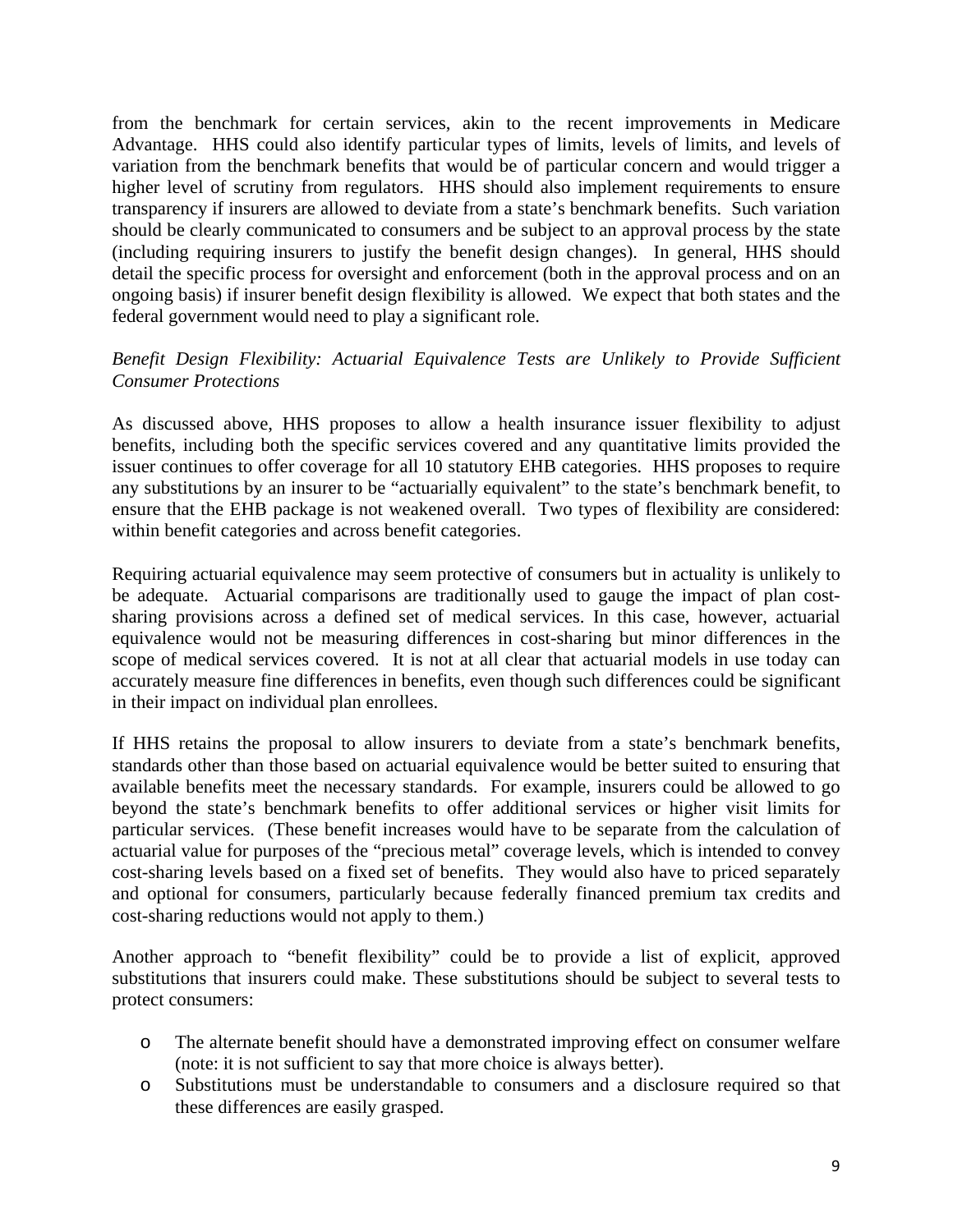from the benchmark for certain services, akin to the recent improvements in Medicare Advantage. HHS could also identify particular types of limits, levels of limits, and levels of variation from the benchmark benefits that would be of particular concern and would trigger a higher level of scrutiny from regulators. HHS should also implement requirements to ensure transparency if insurers are allowed to deviate from a state's benchmark benefits. Such variation should be clearly communicated to consumers and be subject to an approval process by the state (including requiring insurers to justify the benefit design changes). In general, HHS should detail the specific process for oversight and enforcement (both in the approval process and on an ongoing basis) if insurer benefit design flexibility is allowed. We expect that both states and the federal government would need to play a significant role.

# *Benefit Design Flexibility: Actuarial Equivalence Tests are Unlikely to Provide Sufficient Consumer Protections*

As discussed above, HHS proposes to allow a health insurance issuer flexibility to adjust benefits, including both the specific services covered and any quantitative limits provided the issuer continues to offer coverage for all 10 statutory EHB categories. HHS proposes to require any substitutions by an insurer to be "actuarially equivalent" to the state's benchmark benefit, to ensure that the EHB package is not weakened overall. Two types of flexibility are considered: within benefit categories and across benefit categories.

Requiring actuarial equivalence may seem protective of consumers but in actuality is unlikely to be adequate. Actuarial comparisons are traditionally used to gauge the impact of plan costsharing provisions across a defined set of medical services. In this case, however, actuarial equivalence would not be measuring differences in cost-sharing but minor differences in the scope of medical services covered. It is not at all clear that actuarial models in use today can accurately measure fine differences in benefits, even though such differences could be significant in their impact on individual plan enrollees.

If HHS retains the proposal to allow insurers to deviate from a state's benchmark benefits, standards other than those based on actuarial equivalence would be better suited to ensuring that available benefits meet the necessary standards. For example, insurers could be allowed to go beyond the state's benchmark benefits to offer additional services or higher visit limits for particular services. (These benefit increases would have to be separate from the calculation of actuarial value for purposes of the "precious metal" coverage levels, which is intended to convey cost-sharing levels based on a fixed set of benefits. They would also have to priced separately and optional for consumers, particularly because federally financed premium tax credits and cost-sharing reductions would not apply to them.)

Another approach to "benefit flexibility" could be to provide a list of explicit, approved substitutions that insurers could make. These substitutions should be subject to several tests to protect consumers:

- o The alternate benefit should have a demonstrated improving effect on consumer welfare (note: it is not sufficient to say that more choice is always better).
- o Substitutions must be understandable to consumers and a disclosure required so that these differences are easily grasped.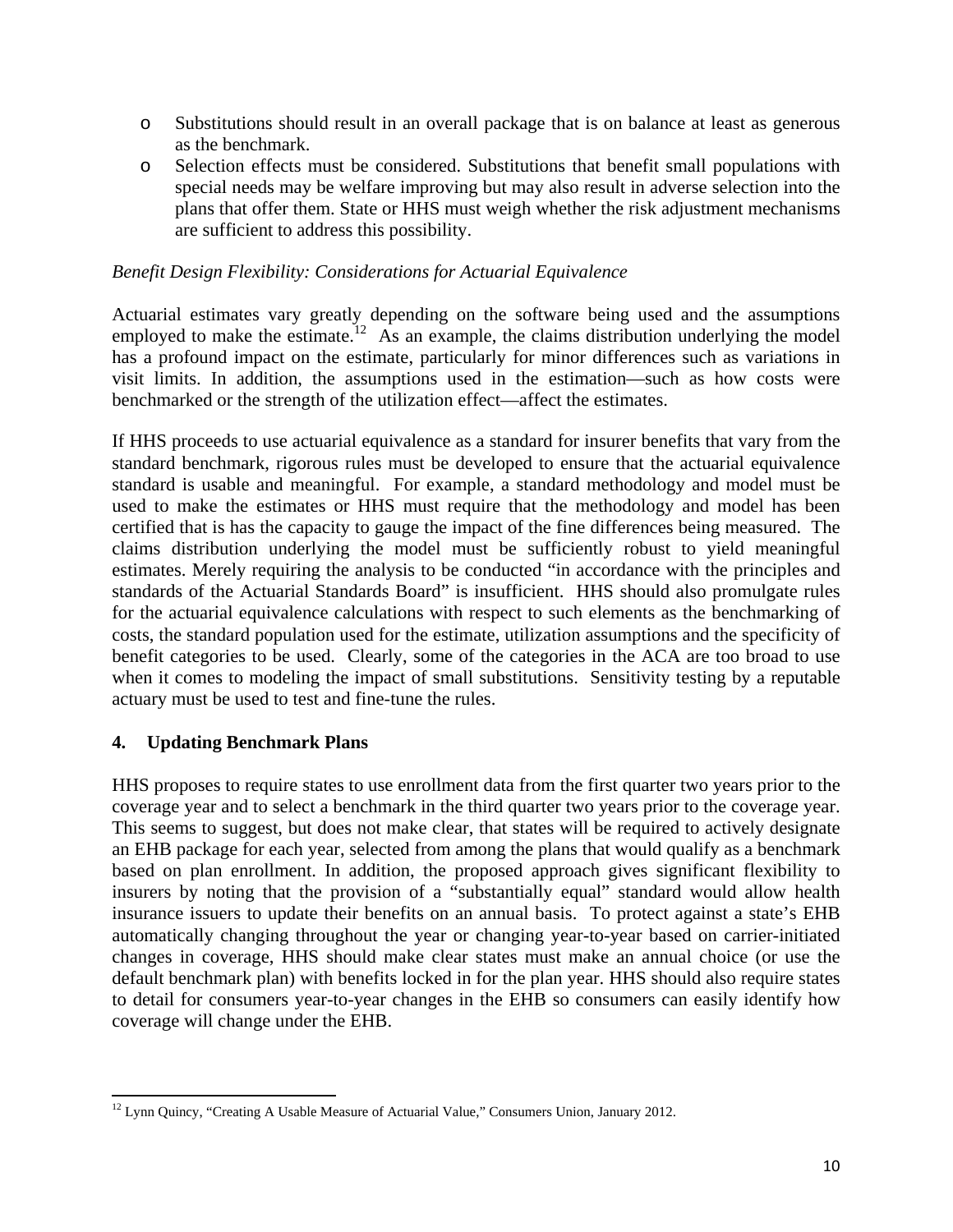- o Substitutions should result in an overall package that is on balance at least as generous as the benchmark.
- o Selection effects must be considered. Substitutions that benefit small populations with special needs may be welfare improving but may also result in adverse selection into the plans that offer them. State or HHS must weigh whether the risk adjustment mechanisms are sufficient to address this possibility.

#### *Benefit Design Flexibility: Considerations for Actuarial Equivalence*

Actuarial estimates vary greatly depending on the software being used and the assumptions employed to make the estimate.<sup>12</sup> As an example, the claims distribution underlying the model has a profound impact on the estimate, particularly for minor differences such as variations in visit limits. In addition, the assumptions used in the estimation—such as how costs were benchmarked or the strength of the utilization effect—affect the estimates.

If HHS proceeds to use actuarial equivalence as a standard for insurer benefits that vary from the standard benchmark, rigorous rules must be developed to ensure that the actuarial equivalence standard is usable and meaningful. For example, a standard methodology and model must be used to make the estimates or HHS must require that the methodology and model has been certified that is has the capacity to gauge the impact of the fine differences being measured. The claims distribution underlying the model must be sufficiently robust to yield meaningful estimates. Merely requiring the analysis to be conducted "in accordance with the principles and standards of the Actuarial Standards Board" is insufficient. HHS should also promulgate rules for the actuarial equivalence calculations with respect to such elements as the benchmarking of costs, the standard population used for the estimate, utilization assumptions and the specificity of benefit categories to be used. Clearly, some of the categories in the ACA are too broad to use when it comes to modeling the impact of small substitutions. Sensitivity testing by a reputable actuary must be used to test and fine-tune the rules.

## **4. Updating Benchmark Plans**

HHS proposes to require states to use enrollment data from the first quarter two years prior to the coverage year and to select a benchmark in the third quarter two years prior to the coverage year. This seems to suggest, but does not make clear, that states will be required to actively designate an EHB package for each year, selected from among the plans that would qualify as a benchmark based on plan enrollment. In addition, the proposed approach gives significant flexibility to insurers by noting that the provision of a "substantially equal" standard would allow health insurance issuers to update their benefits on an annual basis. To protect against a state's EHB automatically changing throughout the year or changing year-to-year based on carrier-initiated changes in coverage, HHS should make clear states must make an annual choice (or use the default benchmark plan) with benefits locked in for the plan year. HHS should also require states to detail for consumers year-to-year changes in the EHB so consumers can easily identify how coverage will change under the EHB.

 <sup>12</sup> Lynn Quincy, "Creating A Usable Measure of Actuarial Value," Consumers Union, January 2012.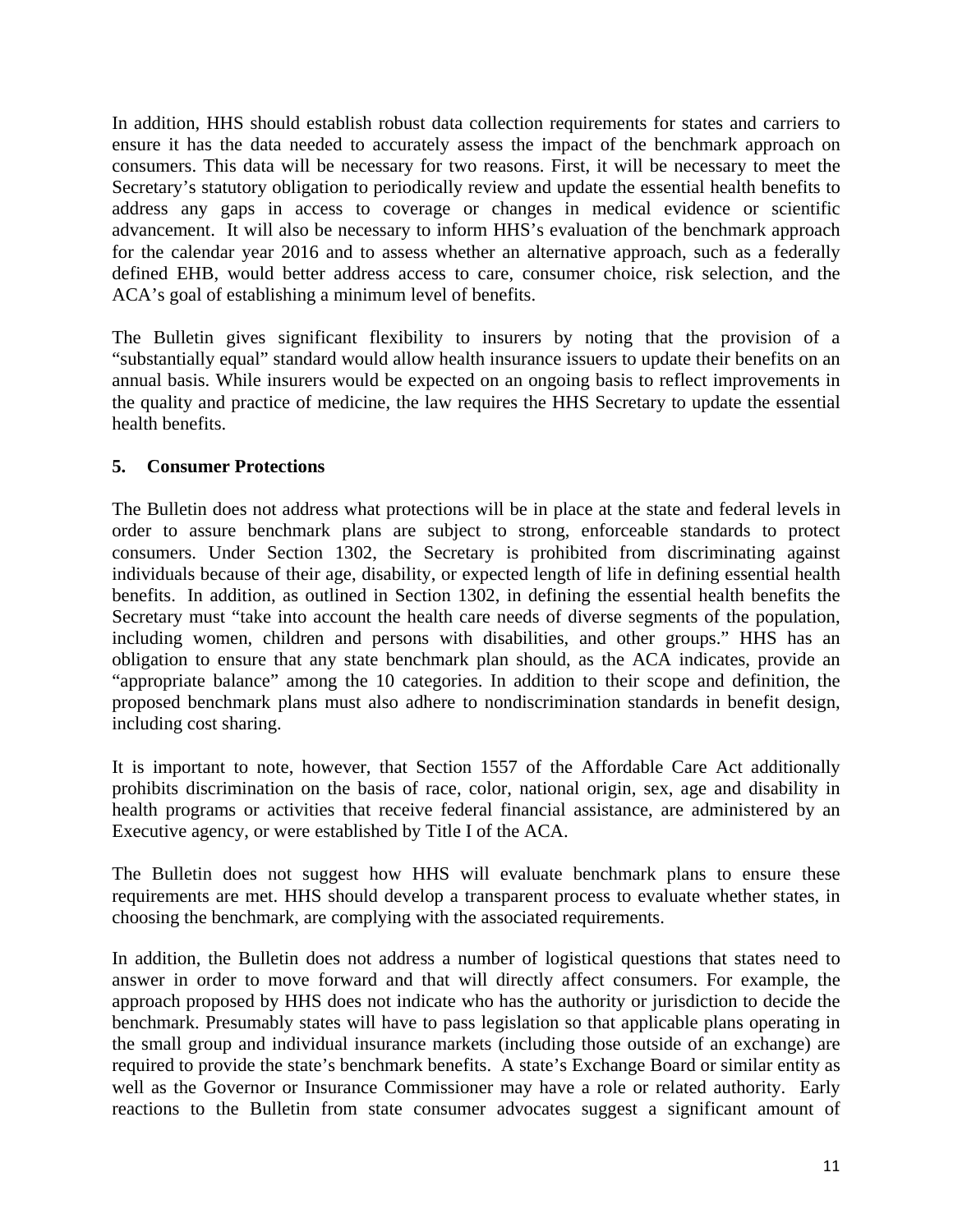In addition, HHS should establish robust data collection requirements for states and carriers to ensure it has the data needed to accurately assess the impact of the benchmark approach on consumers. This data will be necessary for two reasons. First, it will be necessary to meet the Secretary's statutory obligation to periodically review and update the essential health benefits to address any gaps in access to coverage or changes in medical evidence or scientific advancement. It will also be necessary to inform HHS's evaluation of the benchmark approach for the calendar year 2016 and to assess whether an alternative approach, such as a federally defined EHB, would better address access to care, consumer choice, risk selection, and the ACA's goal of establishing a minimum level of benefits.

The Bulletin gives significant flexibility to insurers by noting that the provision of a "substantially equal" standard would allow health insurance issuers to update their benefits on an annual basis. While insurers would be expected on an ongoing basis to reflect improvements in the quality and practice of medicine, the law requires the HHS Secretary to update the essential health benefits.

## **5. Consumer Protections**

The Bulletin does not address what protections will be in place at the state and federal levels in order to assure benchmark plans are subject to strong, enforceable standards to protect consumers. Under Section 1302, the Secretary is prohibited from discriminating against individuals because of their age, disability, or expected length of life in defining essential health benefits. In addition, as outlined in Section 1302, in defining the essential health benefits the Secretary must "take into account the health care needs of diverse segments of the population, including women, children and persons with disabilities, and other groups." HHS has an obligation to ensure that any state benchmark plan should, as the ACA indicates, provide an "appropriate balance" among the 10 categories. In addition to their scope and definition, the proposed benchmark plans must also adhere to nondiscrimination standards in benefit design, including cost sharing.

It is important to note, however, that Section 1557 of the Affordable Care Act additionally prohibits discrimination on the basis of race, color, national origin, sex, age and disability in health programs or activities that receive federal financial assistance, are administered by an Executive agency, or were established by Title I of the ACA.

The Bulletin does not suggest how HHS will evaluate benchmark plans to ensure these requirements are met. HHS should develop a transparent process to evaluate whether states, in choosing the benchmark, are complying with the associated requirements.

In addition, the Bulletin does not address a number of logistical questions that states need to answer in order to move forward and that will directly affect consumers. For example, the approach proposed by HHS does not indicate who has the authority or jurisdiction to decide the benchmark. Presumably states will have to pass legislation so that applicable plans operating in the small group and individual insurance markets (including those outside of an exchange) are required to provide the state's benchmark benefits. A state's Exchange Board or similar entity as well as the Governor or Insurance Commissioner may have a role or related authority. Early reactions to the Bulletin from state consumer advocates suggest a significant amount of